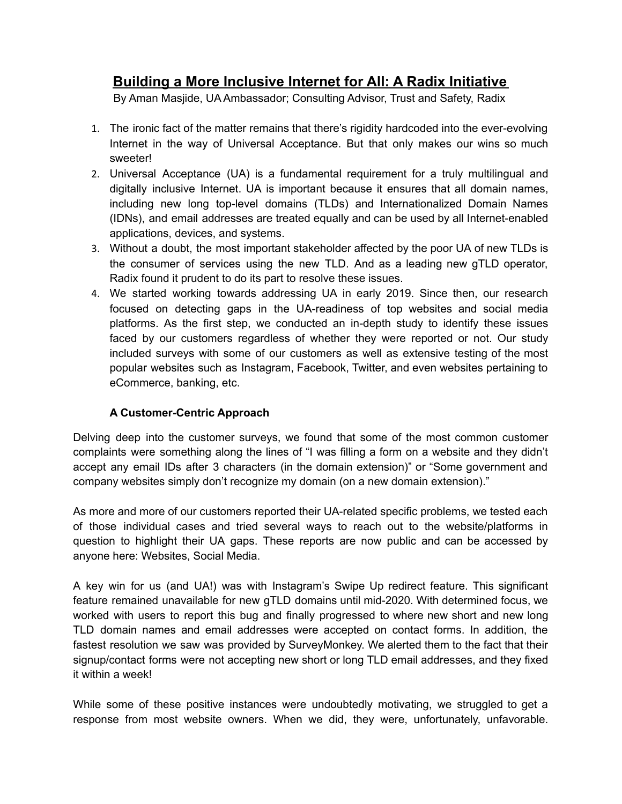# **Building a More Inclusive Internet for All: A Radix Initiative**

By Aman Masjide, UA Ambassador; Consulting Advisor, Trust and Safety, Radix

- 1. The ironic fact of the matter remains that there's rigidity hardcoded into the ever-evolving Internet in the way of Universal Acceptance. But that only makes our wins so much sweeter!
- 2. Universal Acceptance (UA) is a fundamental requirement for a truly multilingual and digitally inclusive Internet. UA is important because it ensures that all domain names, including new long top-level domains (TLDs) and Internationalized Domain Names (IDNs), and email addresses are treated equally and can be used by all Internet-enabled applications, devices, and systems.
- 3. Without a doubt, the most important stakeholder affected by the poor UA of new TLDs is the consumer of services using the new TLD. And as a leading new gTLD operator, Radix found it prudent to do its part to resolve these issues.
- 4. We started working towards addressing UA in early 2019. Since then, our research focused on detecting gaps in the UA-readiness of top websites and social media platforms. As the first step, we conducted an in-depth study to identify these issues faced by our customers regardless of whether they were reported or not. Our study included surveys with some of our customers as well as extensive testing of the most popular websites such as Instagram, Facebook, Twitter, and even websites pertaining to eCommerce, banking, etc.

### **A Customer-Centric Approach**

Delving deep into the customer surveys, we found that some of the most common customer complaints were something along the lines of "I was filling a form on a website and they didn't accept any email IDs after 3 characters (in the domain extension)" or "Some government and company websites simply don't recognize my domain (on a new domain extension)."

As more and more of our customers reported their UA-related specific problems, we tested each of those individual cases and tried several ways to reach out to the website/platforms in question to highlight their UA gaps. These reports are now public and can be accessed by anyone here: Websites, Social Media.

A key win for us (and UA!) was with Instagram's Swipe Up redirect feature. This significant feature remained unavailable for new gTLD domains until mid-2020. With determined focus, we worked with users to report this bug and finally progressed to where new short and new long TLD domain names and email addresses were accepted on contact forms. In addition, the fastest resolution we saw was provided by SurveyMonkey. We alerted them to the fact that their signup/contact forms were not accepting new short or long TLD email addresses, and they fixed it within a week!

While some of these positive instances were undoubtedly motivating, we struggled to get a response from most website owners. When we did, they were, unfortunately, unfavorable.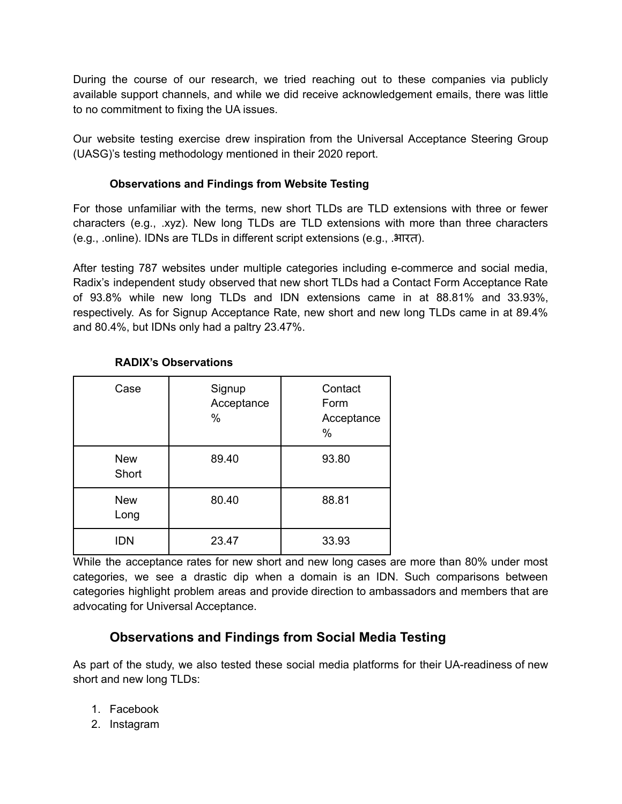During the course of our research, we tried reaching out to these companies via publicly available support channels, and while we did receive acknowledgement emails, there was little to no commitment to fixing the UA issues.

Our website testing exercise drew inspiration from the Universal Acceptance Steering Group (UASG)'s testing methodology mentioned in their 2020 report.

#### **Observations and Findings from Website Testing**

For those unfamiliar with the terms, new short TLDs are TLD extensions with three or fewer characters (e.g., .xyz). New long TLDs are TLD extensions with more than three characters (e.g., .online). IDNs are TLDs in different script extensions (e.g., .भारत).

After testing 787 websites under multiple categories including e-commerce and social media, Radix's independent study observed that new short TLDs had a Contact Form Acceptance Rate of 93.8% while new long TLDs and IDN extensions came in at 88.81% and 33.93%, respectively. As for Signup Acceptance Rate, new short and new long TLDs came in at 89.4% and 80.4%, but IDNs only had a paltry 23.47%.

| Case                | Signup<br>Acceptance<br>$\%$ | Contact<br>Form<br>Acceptance<br>$\%$ |
|---------------------|------------------------------|---------------------------------------|
| <b>New</b><br>Short | 89.40                        | 93.80                                 |
| <b>New</b><br>Long  | 80.40                        | 88.81                                 |
| <b>IDN</b>          | 23.47                        | 33.93                                 |

### **RADIX's Observations**

While the acceptance rates for new short and new long cases are more than 80% under most categories, we see a drastic dip when a domain is an IDN. Such comparisons between categories highlight problem areas and provide direction to ambassadors and members that are advocating for Universal Acceptance.

## **Observations and Findings from Social Media Testing**

As part of the study, we also tested these social media platforms for their UA-readiness of new short and new long TLDs:

- 1. Facebook
- 2. Instagram